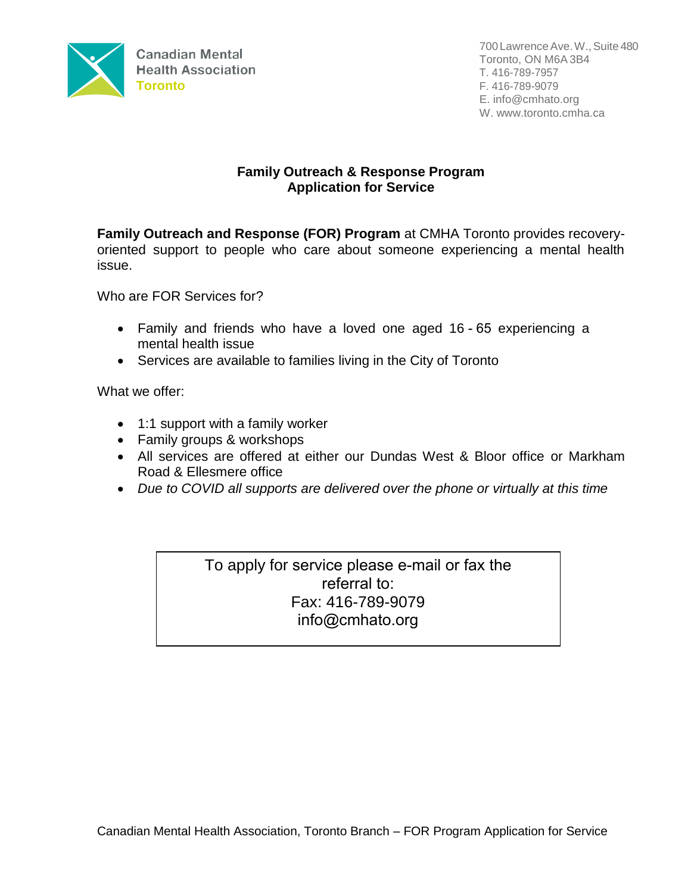

## **Family Outreach & Response Program Application for Service**

**Family Outreach and Response (FOR) Program** at CMHA Toronto provides recoveryoriented support to people who care about someone experiencing a mental health issue.

Who are FOR Services for?

- Family and friends who have a loved one aged 16 65 experiencing a mental health issue
- Services are available to families living in the City of Toronto

What we offer:

- 1:1 support with a family worker
- Family groups & workshops
- All services are offered at either our Dundas West & Bloor office or Markham Road & Ellesmere office
- *Due to COVID all supports are delivered over the phone or virtually at this time*

To apply for service please e-mail or fax the referral to: Fax: 416-789-9079 [info@cmhato.org](mailto:mkalogridis@cmhato.org)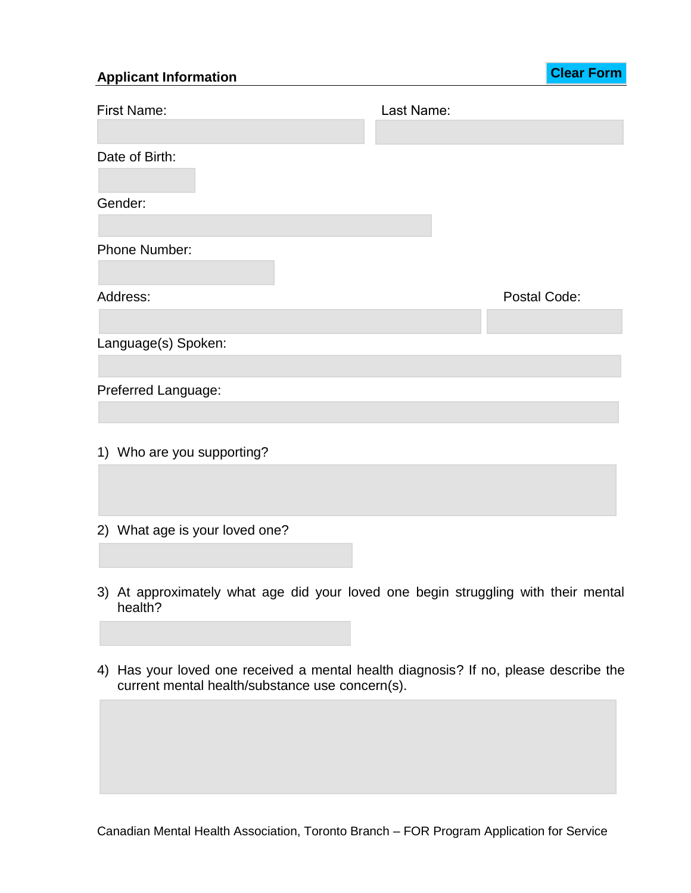## **Applicant Information**

**Clear Form**

| <b>First Name:</b>             | Last Name: |              |
|--------------------------------|------------|--------------|
|                                |            |              |
| Date of Birth:                 |            |              |
|                                |            |              |
| Gender:                        |            |              |
|                                |            |              |
| Phone Number:                  |            |              |
|                                |            |              |
| Address:                       |            | Postal Code: |
|                                |            |              |
| Language(s) Spoken:            |            |              |
|                                |            |              |
| Preferred Language:            |            |              |
|                                |            |              |
|                                |            |              |
| 1) Who are you supporting?     |            |              |
|                                |            |              |
|                                |            |              |
| 2) What age is your loved one? |            |              |
|                                |            |              |

- 3) At approximately what age did your loved one begin struggling with their mental health?
- 4) Has your loved one received a mental health diagnosis? If no, please describe the current mental health/substance use concern(s).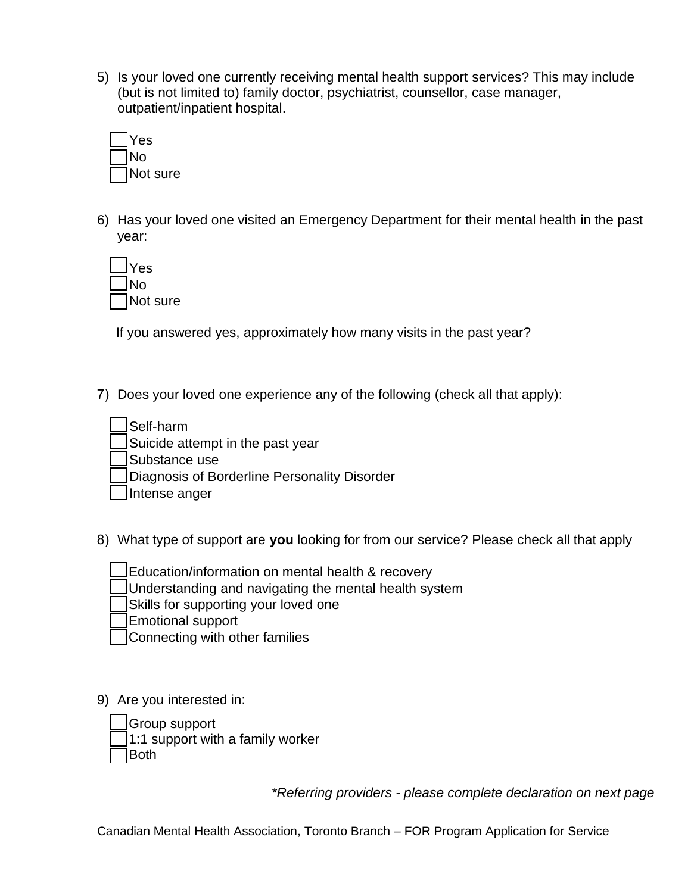5) Is your loved one currently receiving mental health support services? This may include (but is not limited to) family doctor, psychiatrist, counsellor, case manager, outpatient/inpatient hospital.



6) Has your loved one visited an Emergency Department for their mental health in the past year:

| Yes      |
|----------|
| lNo      |
| Not sure |

If you answered yes, approximately how many visits in the past year?

7) Does your loved one experience any of the following (check all that apply):

- Self-harm
- Suicide attempt in the past year

Substance use

Diagnosis of Borderline Personality Disorder

Intense anger

8) What type of support are **you** looking for from our service? Please check all that apply

- Education/information on mental health & recovery
- Understanding and navigating the mental health system
- Skills for supporting your loved one
- Emotional support
- Connecting with other families
- 9) Are you interested in:
	- Group support

1:1 support with a family worker

Both

*\*Referring providers - please complete declaration on next page*